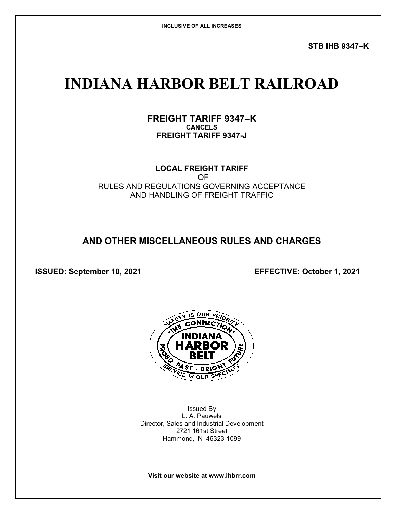**STB IHB 9347–K**

# **INDIANA HARBOR BELT RAILROAD**

**FREIGHT TARIFF 9347–K CANCELS FREIGHT TARIFF 9347-J**

**LOCAL FREIGHT TARIFF** OF RULES AND REGULATIONS GOVERNING ACCEPTANCE AND HANDLING OF FREIGHT TRAFFIC

# **AND OTHER MISCELLANEOUS RULES AND CHARGES**

**ISSUED: September 10, 2021 EFFECTIVE: October 1, 2021**



Issued By L. A. Pauwels Director, Sales and Industrial Development 2721 161st Street Hammond, IN 46323-1099

**Visit our website at www.ihbrr.com**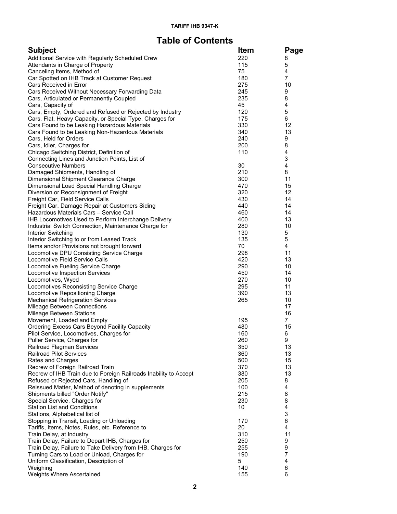# **Table of Contents**

| <b>Subject</b>                                                              | <b>Item</b>     | Page     |
|-----------------------------------------------------------------------------|-----------------|----------|
| Additional Service with Regularly Scheduled Crew                            | 220             | 8        |
| Attendants in Charge of Property                                            | 115             | 5        |
| Canceling Items, Method of                                                  | 75              | 4        |
| Car Spotted on IHB Track at Customer Request                                | 180             | 7        |
| Cars Received in Error                                                      | 275             | 10       |
| Cars Received Without Necessary Forwarding Data                             | 245             | 9        |
| Cars, Articulated or Permanently Coupled                                    | 235             | 8        |
| Cars, Capacity of                                                           | 45              | 4        |
| Cars, Empty, Ordered and Refused or Rejected by Industry                    | 120             | 5        |
| Cars, Flat, Heavy Capacity, or Special Type, Charges for                    | 175             | 6        |
| Cars Found to be Leaking Hazardous Materials                                | 330             | 12<br>13 |
| Cars Found to be Leaking Non-Hazardous Materials<br>Cars, Held for Orders   | 340<br>240      | 9        |
| Cars, Idler, Charges for                                                    | 200             | 8        |
| Chicago Switching District, Definition of                                   | 110             | 4        |
| Connecting Lines and Junction Points, List of                               |                 | 3        |
| <b>Consecutive Numbers</b>                                                  | 30              | 4        |
| Damaged Shipments, Handling of                                              | 210             | 8        |
| Dimensional Shipment Clearance Charge                                       | 300             | 11       |
| Dimensional Load Special Handling Charge                                    | 470             | 15       |
| Diversion or Reconsignment of Freight                                       | 320             | 12       |
| Freight Car, Field Service Calls                                            | 430             | 14       |
| Freight Car, Damage Repair at Customers Siding                              | 440             | 14       |
| Hazardous Materials Cars - Service Call                                     | 460             | 14       |
| IHB Locomotives Used to Perform Interchange Delivery                        | 400             | 13       |
| Industrial Switch Connection, Maintenance Charge for                        | 280             | 10       |
| Interior Switching                                                          | 130             | 5        |
| Interior Switching to or from Leased Track                                  | 135             | 5        |
| Items and/or Provisions not brought forward                                 | 70              | 4        |
| Locomotive DPU Consisting Service Charge                                    | 298             | 11       |
| Locomotive Field Service Calls                                              | 420             | 13       |
| Locomotive Fueling Service Charge                                           | 290             | 10       |
| Locomotive Inspection Services                                              | 450             | 14       |
| Locomotives, Wyed                                                           | 270             | 10       |
| Locomotives Reconsisting Service Charge                                     | 295<br>390      | 11<br>13 |
| Locomotive Repositioning Charge<br><b>Mechanical Refrigeration Services</b> | 265             | 10       |
| Mileage Between Connections                                                 |                 | 17       |
| Mileage Between Stations                                                    |                 | 16       |
| Movement, Loaded and Empty                                                  | 195             | 7        |
| Ordering Excess Cars Beyond Facility Capacity                               | 480             | 15       |
| Pilot Service, Locomotives, Charges for                                     | 160             | 6        |
| Puller Service, Charges for                                                 | 260             | 9        |
| Railroad Flagman Services                                                   | 350             | 13       |
| <b>Railroad Pilot Services</b>                                              | 360             | 13       |
| Rates and Charges                                                           | 500             | 15       |
| Recrew of Foreign Railroad Train                                            | 370             | 13       |
| Recrew of IHB Train due to Foreign Railroads Inability to Accept            | 380             | 13       |
| Refused or Rejected Cars, Handling of                                       | 205             | 8        |
| Reissued Matter, Method of denoting in supplements                          | 100             | 4        |
| Shipments billed "Order Notify"                                             | 215             | 8        |
| Special Service, Charges for                                                | 230             | 8        |
| <b>Station List and Conditions</b>                                          | 10 <sup>°</sup> | 4        |
| Stations, Alphabetical list of                                              |                 | 3        |
| Stopping in Transit, Loading or Unloading                                   | 170<br>20       | 6<br>4   |
| Tariffs, Items, Notes, Rules, etc. Reference to                             |                 |          |
| Train Delay, at Industry<br>Train Delay, Failure to Depart IHB, Charges for | 310<br>250      | 11<br>9  |
| Train Delay, Failure to Take Delivery from IHB, Charges for                 | 255             | 9        |
| Turning Cars to Load or Unload, Charges for                                 | 190             | 7        |
| Uniform Classification, Description of                                      | 5               | 4        |
| Weighing                                                                    | 140             | 6        |
| Weights Where Ascertained                                                   | 155             | 6        |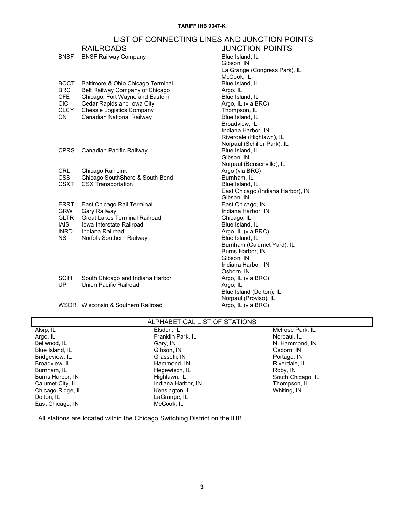# LIST OF CONNECTING LINES AND JUNCTION POINTS

|             | <b>RAILROADS</b>                     | <b>JUNCTION POINTS</b>            |
|-------------|--------------------------------------|-----------------------------------|
| <b>BNSF</b> | <b>BNSF Railway Company</b>          | Blue Island, IL                   |
|             |                                      | Gibson, IN                        |
|             |                                      | La Grange (Congress Park), IL     |
|             |                                      | McCook, IL                        |
| <b>BOCT</b> | Baltimore & Ohio Chicago Terminal    | Blue Island, IL                   |
| <b>BRC</b>  | Belt Railway Company of Chicago      | Argo, IL                          |
| CFE         | Chicago, Fort Wayne and Eastern      | Blue Island, IL                   |
| CIC.        | Cedar Rapids and Iowa City           | Argo, IL (via BRC)                |
| <b>CLCY</b> | <b>Chessie Logistics Company</b>     | Thompson, IL                      |
| <b>CN</b>   | Canadian National Railway            | Blue Island, IL                   |
|             |                                      | Broadview, IL                     |
|             |                                      | Indiana Harbor, IN                |
|             |                                      | Riverdale (Highlawn), IL          |
|             |                                      | Norpaul (Schiller Park), IL       |
| <b>CPRS</b> | Canadian Pacific Railway             | Blue Island, IL                   |
|             |                                      | Gibson, IN                        |
|             |                                      | Norpaul (Bensenville), IL         |
| <b>CRL</b>  | Chicago Rail Link                    | Argo (via BRC)                    |
| <b>CSS</b>  | Chicago SouthShore & South Bend      | Burnham, IL                       |
| <b>CSXT</b> | <b>CSX Transportation</b>            | Blue Island, IL                   |
|             |                                      | East Chicago (Indiana Harbor), IN |
|             |                                      | Gibson. IN                        |
| <b>ERRT</b> | East Chicago Rail Terminal           | East Chicago, IN                  |
| <b>GRW</b>  | Gary Railway                         | Indiana Harbor, IN                |
| <b>GLTR</b> | <b>Great Lakes Terminal Railroad</b> | Chicago, IL                       |
| IAIS.       | Iowa Interstate Railroad             | Blue Island, IL                   |
| <b>INRD</b> | Indiana Railroad                     | Argo, IL (via BRC)                |
| NS.         | Norfolk Southern Railway             | Blue Island, IL                   |
|             |                                      | Burnham (Calumet Yard), IL        |
|             |                                      | Burns Harbor, IN                  |
|             |                                      | Gibson, IN                        |
|             |                                      | Indiana Harbor, IN                |
|             |                                      | Osborn, IN                        |
| SCIH        | South Chicago and Indiana Harbor     | Argo, IL (via BRC)                |
| UP          | Union Pacific Railroad               | Argo, IL                          |
|             |                                      | Blue Island (Dolton), IL          |
|             |                                      | Norpaul (Proviso), IL             |
|             |                                      |                                   |

WSOR Wisconsin & Southern Railroad **Argo, IL (via BRC)** 

### ALPHABETICAL LIST OF STATIONS

| Alsip, IL         | Elsdon, IL         | Melrose Park, IL  |
|-------------------|--------------------|-------------------|
| Argo, IL          | Franklin Park, IL  | Norpaul, IL       |
| Bellwood, IL      | Gary, IN           | N. Hammond, IN    |
| Blue Island, IL   | Gibson, IN         | Osborn, IN        |
| Bridgeview, IL    | Grasselli, IN      | Portage, IN       |
| Broadview, IL     | Hammond, IN        | Riverdale, IL     |
| Burnham, IL       | Hegewisch, IL      | Roby, IN          |
| Burns Harbor, IN  | Highlawn, IL       | South Chicago, IL |
| Calumet City, IL  | Indiana Harbor, IN | Thompson, IL      |
| Chicago Ridge, IL | Kensington, IL     | Whiting, IN       |
| Dolton, IL        | LaGrange, IL       |                   |
| East Chicago, IN  | McCook. IL         |                   |

All stations are located within the Chicago Switching District on the IHB.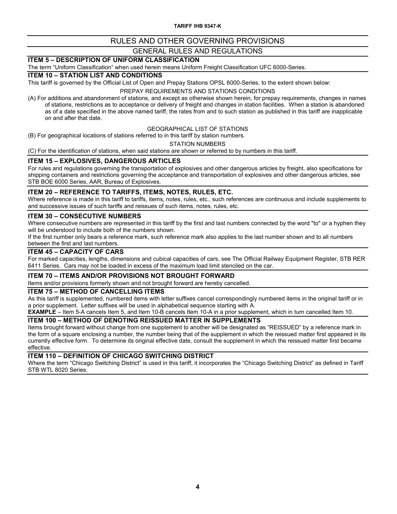**TARIFF IHB 9347-K**

### RULES AND OTHER GOVERNING PROVISIONS GENERAL RULES AND REGULATIONS

# **ITEM 5 – DESCRIPTION OF UNIFORM CLASSIFICATION**

The term "Uniform Classification" when used herein means Uniform Freight Classification UFC 6000-Series.

#### **ITEM 10 – STATION LIST AND CONDITIONS**

This tariff is governed by the Official List of Open and Prepay Stations OPSL 6000-Series, to the extent shown below:

#### PREPAY REQUIREMENTS AND STATIONS CONDITIONS

(A) For additions and abandonment of stations, and except as otherwise shown herein, for prepay requirements, changes in names of stations, restrictions as to acceptance or delivery of freight and changes in station facilities. When a station is abandoned as of a date specified in the above named tariff, the rates from and to such station as published in this tariff are inapplicable on and after that date.

### GEOGRAPHICAL LIST OF STATIONS

(B) For geographical locations of stations referred to in this tariff by station numbers.

STATION NUMBERS

(C) For the identification of stations, when said stations are shown or referred to by numbers in this tariff.

#### **ITEM 15 – EXPLOSIVES, DANGEROUS ARTICLES**

For rules and regulations governing the transportation of explosives and other dangerous articles by freight, also specifications for shipping containers and restrictions governing the acceptance and transportation of explosives and other dangerous articles, see STB BOE 6000 Series, AAR, Bureau of Explosives.

#### **ITEM 20 – REFERENCE TO TARIFFS, ITEMS, NOTES, RULES, ETC.**

Where reference is made in this tariff to tariffs, items, notes, rules, etc., such references are continuous and include supplements to and successive issues of such tariffs and reissues of such items, notes, rules, etc.

#### **ITEM 30 – CONSECUTIVE NUMBERS**

Where consecutive numbers are represented in this tariff by the first and last numbers connected by the word "to" or a hyphen they will be understood to include both of the numbers shown.

If the first number only bears a reference mark, such reference mark also applies to the last number shown and to all numbers between the first and last numbers.

#### **ITEM 45 – CAPACITY OF CARS**

For marked capacities, lengths, dimensions and cubical capacities of cars, see The Official Railway Equipment Register, STB RER 6411 Series. Cars may not be loaded in excess of the maximum load limit stenciled on the car.

#### **ITEM 70 – ITEMS AND/OR PROVISIONS NOT BROUGHT FORWARD**

Items and/or provisions formerly shown and not brought forward are hereby cancelled.

#### **ITEM 75 – METHOD OF CANCELLING ITEMS**

As this tariff is supplemented, numbered items with letter suffixes cancel correspondingly numbered items in the original tariff or in a prior supplement. Letter suffixes will be used in alphabetical sequence starting with A.

**EXAMPLE** – Item 5-A cancels Item 5, and Item 10-B cancels Item 10-A in a prior supplement, which in turn cancelled Item 10.

#### **ITEM 100 – METHOD OF DENOTING REISSUED MATTER IN SUPPLEMENTS**

Items brought forward without change from one supplement to another will be designated as "REISSUED" by a reference mark in the form of a square enclosing a number, the number being that of the supplement in which the reissued matter first appeared in its currently effective form. To determine its original effective date, consult the supplement in which the reissued matter first became effective.

**ITEM 110 – DEFINITION OF CHICAGO SWITCHING DISTRICT**

Where the term "Chicago Switching District" is used in this tariff, it incorporates the "Chicago Switching District" as defined in Tariff STB WTL 8020 Series.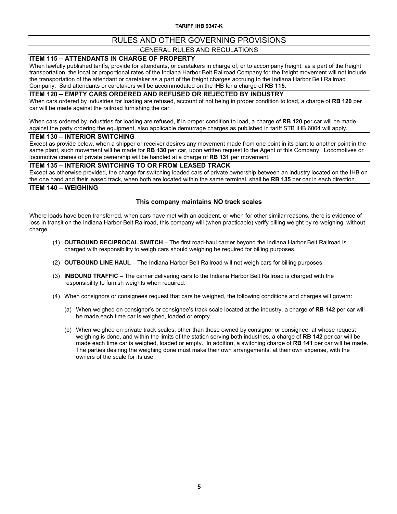# GENERAL RULES AND REGULATIONS

#### **ITEM 115 – ATTENDANTS IN CHARGE OF PROPERTY**

When lawfully published tariffs, provide for attendants, or caretakers in charge of, or to accompany freight, as a part of the freight transportation, the local or proportional rates of the Indiana Harbor Belt Railroad Company for the freight movement will not include the transportation of the attendant or caretaker as a part of the freight charges accruing to the Indiana Harbor Belt Railroad Company. Said attendants or caretakers will be accommodated on the IHB for a charge of **RB 115.**

#### **ITEM 120 – EMPTY CARS ORDERED AND REFUSED OR REJECTED BY INDUSTRY**

When cars ordered by industries for loading are refused, account of not being in proper condition to load, a charge of **RB 120** per car will be made against the railroad furnishing the car.

When cars ordered by industries for loading are refused, if in proper condition to load, a charge of **RB 120** per car will be made against the party ordering the equipment, also applicable demurrage charges as published in tariff STB IHB 6004 will apply.

#### **ITEM 130 – INTERIOR SWITCHING**

Except as provide below, when a shipper or receiver desires any movement made from one point in its plant to another point in the same plant, such movement will be made for **RB 130** per car, upon written request to the Agent of this Company. Locomotives or locomotive cranes of private ownership will be handled at a charge of **RB 131** per movement.

#### **ITEM 135 – INTERIOR SWITCHING TO OR FROM LEASED TRACK**

Except as otherwise provided, the charge for switching loaded cars of private ownership between an industry located on the IHB on the one hand and their leased track, when both are located within the same terminal, shall be **RB 135** per car in each direction.

#### **ITEM 140 – WEIGHING**

#### **This company maintains NO track scales**

Where loads have been transferred, when cars have met with an accident, or when for other similar reasons, there is evidence of loss in transit on the Indiana Harbor Belt Railroad, this company will (when practicable) verify billing weight by re-weighing, without charge.

- (1) **OUTBOUND RECIPROCAL SWITCH** The first road-haul carrier beyond the Indiana Harbor Belt Railroad is charged with responsibility to weigh cars should weighing be required for billing purposes.
- (2) **OUTBOUND LINE HAUL**  The Indiana Harbor Belt Railroad will not weigh cars for billing purposes.
- (3) **INBOUND TRAFFIC** The carrier delivering cars to the Indiana Harbor Belt Railroad is charged with the responsibility to furnish weights when required.
- (4) When consignors or consignees request that cars be weighed, the following conditions and charges will govern:
	- (a) When weighed on consignor's or consignee's track scale located at the industry, a charge of **RB 142** per car will be made each time car is weighed, loaded or empty.
	- (b) When weighed on private track scales, other than those owned by consignor or consignee, at whose request weighing is done, and within the limits of the station serving both industries, a charge of **RB 142** per car will be made each time car is weighed, loaded or empty. In addition, a switching charge of **RB 141** per car will be made. The parties desiring the weighing done must make their own arrangements, at their own expense, with the owners of the scale for its use.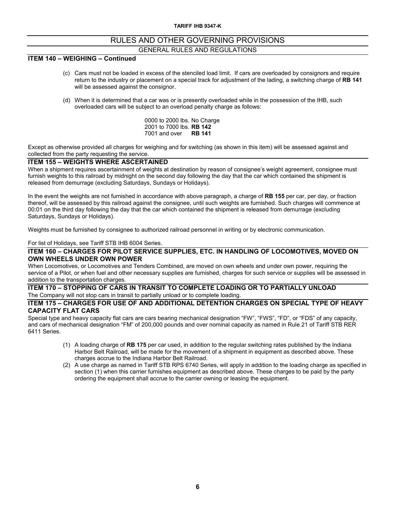### **ITEM 140 – WEIGHING – Continued**

- (c) Cars must not be loaded in excess of the stenciled load limit. If cars are overloaded by consignors and require return to the industry or placement on a special track for adjustment of the lading, a switching charge of **RB 141** will be assessed against the consignor.
- (d) When it is determined that a car was or is presently overloaded while in the possession of the IHB, such overloaded cars will be subject to an overload penalty charge as follows:

0000 to 2000 lbs. No Charge 2001 to 7000 lbs. **RB 142** 7001 and over **RB 141**

Except as otherwise provided all charges for weighing and for switching (as shown in this item) will be assessed against and collected from the party requesting the service.

#### **ITEM 155 – WEIGHTS WHERE ASCERTAINED**

When a shipment requires ascertainment of weights at destination by reason of consignee's weight agreement, consignee must furnish weights to this railroad by midnight on the second day following the day that the car which contained the shipment is released from demurrage (excluding Saturdays, Sundays or Holidays).

In the event the weights are not furnished in accordance with above paragraph, a charge of **RB 155** per car, per day, or fraction thereof, will be assessed by this railroad against the consignee, until such weights are furnished. Such charges will commence at 00:01 on the third day following the day that the car which contained the shipment is released from demurrage (excluding Saturdays, Sundays or Holidays).

Weights must be furnished by consignee to authorized railroad personnel in writing or by electronic communication.

#### For list of Holidays, see Tariff STB IHB 6004 Series.

#### **ITEM 160 – CHARGES FOR PILOT SERVICE SUPPLIES, ETC. IN HANDLING OF LOCOMOTIVES, MOVED ON OWN WHEELS UNDER OWN POWER**

When Locomotives, or Locomotives and Tenders Combined, are moved on own wheels and under own power, requiring the service of a Pilot, or when fuel and other necessary supplies are furnished, charges for such service or supplies will be assessed in addition to the transportation charges.

#### **ITEM 170 – STOPPING OF CARS IN TRANSIT TO COMPLETE LOADING OR TO PARTIALLY UNLOAD** The Company will not stop cars in transit to partially unload or to complete loading.

#### **ITEM 175 – CHARGES FOR USE OF AND ADDITIONAL DETENTION CHARGES ON SPECIAL TYPE OF HEAVY CAPACITY FLAT CARS**

Special type and heavy capacity flat cars are cars bearing mechanical designation "FW", "FWS", "FD", or "FDS" of any capacity, and cars of mechanical designation "FM" of 200,000 pounds and over nominal capacity as named in Rule 21 of Tariff STB RER 6411 Series.

- (1) A loading charge of **RB 175** per car used, in addition to the regular switching rates published by the Indiana Harbor Belt Railroad, will be made for the movement of a shipment in equipment as described above. These charges accrue to the Indiana Harbor Belt Railroad.
- (2) A use charge as named in Tariff STB RPS 6740 Series, will apply in addition to the loading charge as specified in section (1) when this carrier furnishes equipment as described above. These charges to be paid by the party ordering the equipment shall accrue to the carrier owning or leasing the equipment.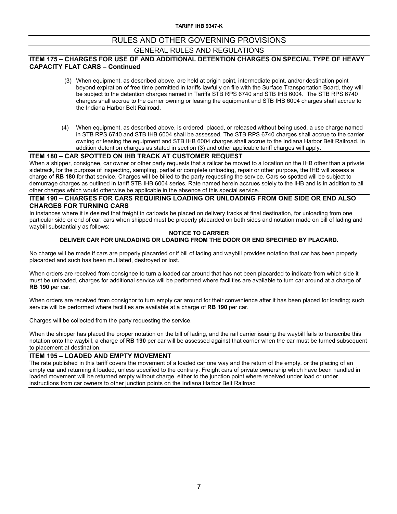# GENERAL RULES AND REGULATIONS

#### **ITEM 175 – CHARGES FOR USE OF AND ADDITIONAL DETENTION CHARGES ON SPECIAL TYPE OF HEAVY CAPACITY FLAT CARS – Continued**

- (3) When equipment, as described above, are held at origin point, intermediate point, and/or destination point beyond expiration of free time permitted in tariffs lawfully on file with the Surface Transportation Board, they will be subject to the detention charges named in Tariffs STB RPS 6740 and STB IHB 6004. The STB RPS 6740 charges shall accrue to the carrier owning or leasing the equipment and STB IHB 6004 charges shall accrue to the Indiana Harbor Belt Railroad.
- (4) When equipment, as described above, is ordered, placed, or released without being used, a use charge named in STB RPS 6740 and STB IHB 6004 shall be assessed. The STB RPS 6740 charges shall accrue to the carrier owning or leasing the equipment and STB IHB 6004 charges shall accrue to the Indiana Harbor Belt Railroad. In addition detention charges as stated in section (3) and other applicable tariff charges will apply.

#### **ITEM 180 – CAR SPOTTED ON IHB TRACK AT CUSTOMER REQUEST**

When a shipper, consignee, car owner or other party requests that a railcar be moved to a location on the IHB other than a private sidetrack, for the purpose of inspecting, sampling, partial or complete unloading, repair or other purpose, the IHB will assess a charge of **RB 180** for that service. Charges will be billed to the party requesting the service. Cars so spotted will be subject to demurrage charges as outlined in tariff STB IHB 6004 series. Rate named herein accrues solely to the IHB and is in addition to all other charges which would otherwise be applicable in the absence of this special service.

#### **ITEM 190 – CHARGES FOR CARS REQUIRING LOADING OR UNLOADING FROM ONE SIDE OR END ALSO CHARGES FOR TURNING CARS**

In instances where it is desired that freight in carloads be placed on delivery tracks at final destination, for unloading from one particular side or end of car, cars when shipped must be properly placarded on both sides and notation made on bill of lading and waybill substantially as follows:

#### **NOTICE TO CARRIER DELIVER CAR FOR UNLOADING OR LOADING FROM THE DOOR OR END SPECIFIED BY PLACARD.**

No charge will be made if cars are properly placarded or if bill of lading and waybill provides notation that car has been properly placarded and such has been mutilated, destroyed or lost.

When orders are received from consignee to turn a loaded car around that has not been placarded to indicate from which side it must be unloaded, charges for additional service will be performed where facilities are available to turn car around at a charge of **RB 190** per car.

When orders are received from consignor to turn empty car around for their convenience after it has been placed for loading; such service will be performed where facilities are available at a charge of **RB 190** per car.

Charges will be collected from the party requesting the service.

When the shipper has placed the proper notation on the bill of lading, and the rail carrier issuing the waybill fails to transcribe this notation onto the waybill, a charge of **RB 190** per car will be assessed against that carrier when the car must be turned subsequent to placement at destination.

#### **ITEM 195 – LOADED AND EMPTY MOVEMENT**

The rate published in this tariff covers the movement of a loaded car one way and the return of the empty, or the placing of an empty car and returning it loaded, unless specified to the contrary. Freight cars of private ownership which have been handled in loaded movement will be returned empty without charge, either to the junction point where received under load or under instructions from car owners to other junction points on the Indiana Harbor Belt Railroad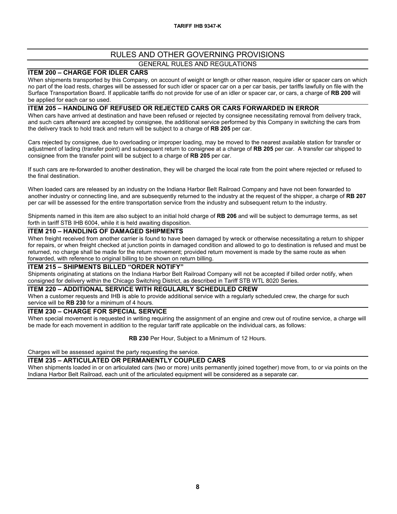#### **ITEM 200 – CHARGE FOR IDLER CARS**

When shipments transported by this Company, on account of weight or length or other reason, require idler or spacer cars on which no part of the load rests, charges will be assessed for such idler or spacer car on a per car basis, per tariffs lawfully on file with the Surface Transportation Board. If applicable tariffs do not provide for use of an idler or spacer car, or cars, a charge of **RB 200** will be applied for each car so used.

#### **ITEM 205 – HANDLING OF REFUSED OR REJECTED CARS OR CARS FORWARDED IN ERROR**

When cars have arrived at destination and have been refused or rejected by consignee necessitating removal from delivery track, and such cars afterward are accepted by consignee, the additional service performed by this Company in switching the cars from the delivery track to hold track and return will be subject to a charge of **RB 205** per car.

Cars rejected by consignee, due to overloading or improper loading, may be moved to the nearest available station for transfer or adjustment of lading (transfer point) and subsequent return to consignee at a charge of **RB 205** per car. A transfer car shipped to consignee from the transfer point will be subject to a charge of **RB 205** per car.

If such cars are re-forwarded to another destination, they will be charged the local rate from the point where rejected or refused to the final destination.

When loaded cars are released by an industry on the Indiana Harbor Belt Railroad Company and have not been forwarded to another industry or connecting line, and are subsequently returned to the industry at the request of the shipper, a charge of **RB 207** per car will be assessed for the entire transportation service from the industry and subsequent return to the industry.

Shipments named in this item are also subject to an initial hold charge of **RB 206** and will be subject to demurrage terms, as set forth in tariff STB IHB 6004, while it is held awaiting disposition.

#### **ITEM 210 – HANDLING OF DAMAGED SHIPMENTS**

When freight received from another carrier is found to have been damaged by wreck or otherwise necessitating a return to shipper for repairs, or when freight checked at junction points in damaged condition and allowed to go to destination is refused and must be returned, no charge shall be made for the return movement; provided return movement is made by the same route as when forwarded, with reference to original billing to be shown on return billing.

#### **ITEM 215 – SHIPMENTS BILLED "ORDER NOTIFY"**

Shipments originating at stations on the Indiana Harbor Belt Railroad Company will not be accepted if billed order notify, when consigned for delivery within the Chicago Switching District, as described in Tariff STB WTL 8020 Series.

#### **ITEM 220 – ADDITIONAL SERVICE WITH REGULARLY SCHEDULED CREW**

When a customer requests and IHB is able to provide additional service with a regularly scheduled crew, the charge for such service will be **RB 230** for a minimum of 4 hours.

#### **ITEM 230 – CHARGE FOR SPECIAL SERVICE**

When special movement is requested in writing requiring the assignment of an engine and crew out of routine service, a charge will be made for each movement in addition to the regular tariff rate applicable on the individual cars, as follows:

**RB 230** Per Hour, Subject to a Minimum of 12 Hours.

Charges will be assessed against the party requesting the service.

#### **ITEM 235 – ARTICULATED OR PERMANENTLY COUPLED CARS**

When shipments loaded in or on articulated cars (two or more) units permanently joined together) move from, to or via points on the Indiana Harbor Belt Railroad, each unit of the articulated equipment will be considered as a separate car.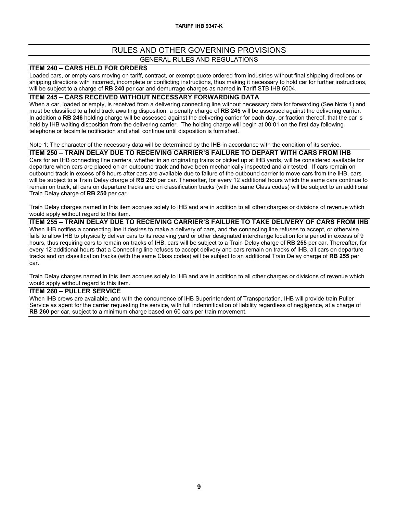### GENERAL RULES AND REGULATIONS

#### **ITEM 240 – CARS HELD FOR ORDERS**

Loaded cars, or empty cars moving on tariff, contract, or exempt quote ordered from industries without final shipping directions or shipping directions with incorrect, incomplete or conflicting instructions, thus making it necessary to hold car for further instructions, will be subject to a charge of **RB 240** per car and demurrage charges as named in Tariff STB IHB 6004.

#### **ITEM 245 – CARS RECEIVED WITHOUT NECESSARY FORWARDING DATA**

When a car, loaded or empty, is received from a delivering connecting line without necessary data for forwarding (See Note 1) and must be classified to a hold track awaiting disposition, a penalty charge of **RB 245** will be assessed against the delivering carrier. In addition a **RB 246** holding charge will be assessed against the delivering carrier for each day, or fraction thereof, that the car is held by IHB waiting disposition from the delivering carrier. The holding charge will begin at 00:01 on the first day following telephone or facsimile notification and shall continue until disposition is furnished.

#### Note 1: The character of the necessary data will be determined by the IHB in accordance with the condition of its service.

#### **ITEM 250 – TRAIN DELAY DUE TO RECEIVING CARRIER'S FAILURE TO DEPART WITH CARS FROM IHB**

Cars for an IHB connecting line carriers, whether in an originating trains or picked up at IHB yards, will be considered available for departure when cars are placed on an outbound track and have been mechanically inspected and air tested. If cars remain on outbound track in excess of 9 hours after cars are available due to failure of the outbound carrier to move cars from the IHB, cars will be subject to a Train Delay charge of **RB 250** per car. Thereafter, for every 12 additional hours which the same cars continue to remain on track, all cars on departure tracks and on classification tracks (with the same Class codes) will be subject to an additional Train Delay charge of **RB 250** per car.

Train Delay charges named in this item accrues solely to IHB and are in addition to all other charges or divisions of revenue which would apply without regard to this item.

**ITEM 255 – TRAIN DELAY DUE TO RECEIVING CARRIER'S FAILURE TO TAKE DELIVERY OF CARS FROM IHB** When IHB notifies a connecting line it desires to make a delivery of cars, and the connecting line refuses to accept, or otherwise fails to allow IHB to physically deliver cars to its receiving yard or other designated interchange location for a period in excess of 9 hours, thus requiring cars to remain on tracks of IHB, cars will be subject to a Train Delay charge of **RB 255** per car. Thereafter, for every 12 additional hours that a Connecting line refuses to accept delivery and cars remain on tracks of IHB, all cars on departure tracks and on classification tracks (with the same Class codes) will be subject to an additional Train Delay charge of **RB 255** per car.

Train Delay charges named in this item accrues solely to IHB and are in addition to all other charges or divisions of revenue which would apply without regard to this item.

#### **ITEM 260 – PULLER SERVICE**

When IHB crews are available, and with the concurrence of IHB Superintendent of Transportation, IHB will provide train Puller Service as agent for the carrier requesting the service, with full indemnification of liability regardless of negligence, at a charge of **RB 260** per car, subject to a minimum charge based on 60 cars per train movement.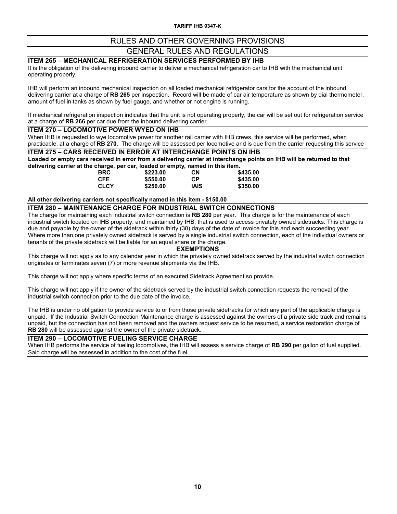# GENERAL RULES AND REGULATIONS

# **ITEM 265 – MECHANICAL REFRIGERATION SERVICES PERFORMED BY IHB**

It is the obligation of the delivering inbound carrier to deliver a mechanical refrigeration car to IHB with the mechanical unit operating properly.

IHB will perform an inbound mechanical inspection on all loaded mechanical refrigerator cars for the account of the inbound delivering carrier at a charge of **RB 265** per inspection. Record will be made of car air temperature as shown by dial thermometer, amount of fuel in tanks as shown by fuel gauge, and whether or not engine is running.

If mechanical refrigeration inspection indicates that the unit is not operating properly, the car will be set out for refrigeration service at a charge of **RB 266** per car due from the inbound delivering carrier.

#### **ITEM 270 – LOCOMOTIVE POWER WYED ON IHB**

When IHB is requested to wye locomotive power for another rail carrier with IHB crews, this service will be performed, when practicable, at a charge of **RB 270**. The charge will be assessed per locomotive and is due from the carrier requesting this service

### **ITEM 275 – CARS RECEIVED IN ERROR AT INTERCHANGE POINTS ON IHB**

**Loaded or empty cars received in error from a delivering carrier at interchange points on IHB will be returned to that**  delivering carrier at the charge, per car, loaded or empty, named in this item.<br>BRC \$223.00 CN

| <b>BRC</b> | \$223.00 | <b>CN</b>   | \$435.00 |
|------------|----------|-------------|----------|
| CFE.       | \$550.00 | <b>CP</b>   | \$435.00 |
| CLCY       | \$250.00 | <b>IAIS</b> | \$350.00 |

#### **All other delivering carriers not specifically named in this item - \$150.00**

#### **ITEM 280 – MAINTENANCE CHARGE FOR INDUSTRIAL SWITCH CONNECTIONS**

The charge for maintaining each industrial switch connection is **RB 280** per year. This charge is for the maintenance of each industrial switch located on IHB property, and maintained by IHB, that is used to access privately owned sidetracks. This charge is due and payable by the owner of the sidetrack within thirty (30) days of the date of invoice for this and each succeeding year. Where more than one privately owned sidetrack is served by a single industrial switch connection, each of the individual owners or tenants of the private sidetrack will be liable for an equal share or the charge.

#### **EXEMPTIONS**

This charge will not apply as to any calendar year in which the privately owned sidetrack served by the industrial switch connection originates or terminates seven (7) or more revenue shipments via the IHB.

This charge will not apply where specific terms of an executed Sidetrack Agreement so provide.

This charge will not apply if the owner of the sidetrack served by the industrial switch connection requests the removal of the industrial switch connection prior to the due date of the invoice.

The IHB is under no obligation to provide service to or from those private sidetracks for which any part of the applicable charge is unpaid. If the Industrial Switch Connection Maintenance charge is assessed against the owners of a private side track and remains unpaid, but the connection has not been removed and the owners request service to be resumed, a service restoration charge of **RB 280** will be assessed against the owner of the private sidetrack.

#### **ITEM 290 – LOCOMOTIVE FUELING SERVICE CHARGE**

When IHB performs the service of fueling locomotives, the IHB will assess a service charge of **RB 290** per gallon of fuel supplied. Said charge will be assessed in addition to the cost of the fuel.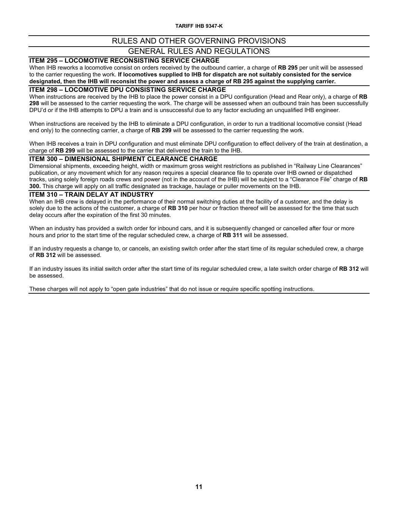**TARIFF IHB 9347-K**

# RULES AND OTHER GOVERNING PROVISIONS

# GENERAL RULES AND REGULATIONS

### **ITEM 295 – LOCOMOTIVE RECONSISTING SERVICE CHARGE**

When IHB reworks a locomotive consist on orders received by the outbound carrier, a charge of **RB 295** per unit will be assessed to the carrier requesting the work. **If locomotives supplied to IHB for dispatch are not suitably consisted for the service designated, then the IHB will reconsist the power and assess a charge of RB 295 against the supplying carrier.**

#### **ITEM 298 – LOCOMOTIVE DPU CONSISTING SERVICE CHARGE**

When instructions are received by the IHB to place the power consist in a DPU configuration (Head and Rear only), a charge of **RB 298** will be assessed to the carrier requesting the work. The charge will be assessed when an outbound train has been successfully DPU'd or if the IHB attempts to DPU a train and is unsuccessful due to any factor excluding an unqualified IHB engineer.

When instructions are received by the IHB to eliminate a DPU configuration, in order to run a traditional locomotive consist (Head end only) to the connecting carrier, a charge of **RB 299** will be assessed to the carrier requesting the work.

When IHB receives a train in DPU configuration and must eliminate DPU configuration to effect delivery of the train at destination, a charge of **RB 299** will be assessed to the carrier that delivered the train to the IHB.

#### **ITEM 300 – DIMENSIONAL SHIPMENT CLEARANCE CHARGE**

Dimensional shipments, exceeding height, width or maximum gross weight restrictions as published in "Railway Line Clearances" publication, or any movement which for any reason requires a special clearance file to operate over IHB owned or dispatched tracks, using solely foreign roads crews and power (not in the account of the IHB) will be subject to a "Clearance File" charge of **RB 300.** This charge will apply on all traffic designated as trackage, haulage or puller movements on the IHB.

#### **ITEM 310 – TRAIN DELAY AT INDUSTRY**

When an IHB crew is delayed in the performance of their normal switching duties at the facility of a customer, and the delay is solely due to the actions of the customer, a charge of **RB 310** per hour or fraction thereof will be assessed for the time that such delay occurs after the expiration of the first 30 minutes.

When an industry has provided a switch order for inbound cars, and it is subsequently changed or cancelled after four or more hours and prior to the start time of the regular scheduled crew, a charge of **RB 311** will be assessed.

If an industry requests a change to, or cancels, an existing switch order after the start time of its regular scheduled crew, a charge of **RB 312** will be assessed.

If an industry issues its initial switch order after the start time of its regular scheduled crew, a late switch order charge of **RB 312** will be assessed.

These charges will not apply to "open gate industries" that do not issue or require specific spotting instructions.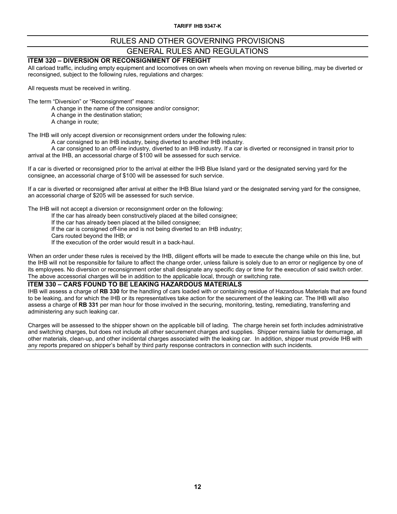# GENERAL RULES AND REGULATIONS

#### **ITEM 320 – DIVERSION OR RECONSIGNMENT OF FREIGHT**

All carload traffic, including empty equipment and locomotives on own wheels when moving on revenue billing, may be diverted or reconsigned, subject to the following rules, regulations and charges:

All requests must be received in writing.

The term "Diversion" or "Reconsignment" means:

A change in the name of the consignee and/or consignor;

A change in the destination station;

A change in route;

The IHB will only accept diversion or reconsignment orders under the following rules:

A car consigned to an IHB industry, being diverted to another IHB industry.

A car consigned to an off-line industry, diverted to an IHB industry. If a car is diverted or reconsigned in transit prior to arrival at the IHB, an accessorial charge of \$100 will be assessed for such service.

If a car is diverted or reconsigned prior to the arrival at either the IHB Blue Island yard or the designated serving yard for the consignee, an accessorial charge of \$100 will be assessed for such service.

If a car is diverted or reconsigned after arrival at either the IHB Blue Island yard or the designated serving yard for the consignee, an accessorial charge of \$205 will be assessed for such service.

The IHB will not accept a diversion or reconsignment order on the following:

If the car has already been constructively placed at the billed consignee;

If the car has already been placed at the billed consignee;

If the car is consigned off-line and is not being diverted to an IHB industry;

Cars routed beyond the IHB; or

If the execution of the order would result in a back-haul.

When an order under these rules is received by the IHB, diligent efforts will be made to execute the change while on this line, but the IHB will not be responsible for failure to affect the change order, unless failure is solely due to an error or negligence by one of its employees. No diversion or reconsignment order shall designate any specific day or time for the execution of said switch order. The above accessorial charges will be in addition to the applicable local, through or switching rate.

#### **ITEM 330 – CARS FOUND TO BE LEAKING HAZARDOUS MATERIALS**

IHB will assess a charge of **RB 330** for the handling of cars loaded with or containing residue of Hazardous Materials that are found to be leaking, and for which the IHB or its representatives take action for the securement of the leaking car. The IHB will also assess a charge of **RB 331** per man hour for those involved in the securing, monitoring, testing, remediating, transferring and administering any such leaking car.

Charges will be assessed to the shipper shown on the applicable bill of lading. The charge herein set forth includes administrative and switching charges, but does not include all other securement charges and supplies. Shipper remains liable for demurrage, all other materials, clean-up, and other incidental charges associated with the leaking car. In addition, shipper must provide IHB with any reports prepared on shipper's behalf by third party response contractors in connection with such incidents.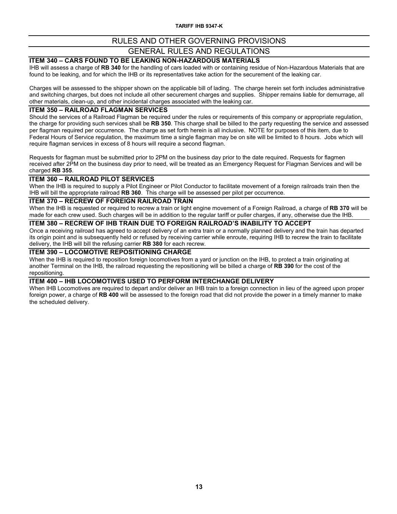# GENERAL RULES AND REGULATIONS

# **ITEM 340 – CARS FOUND TO BE LEAKING NON-HAZARDOUS MATERIALS**

IHB will assess a charge of **RB 340** for the handling of cars loaded with or containing residue of Non-Hazardous Materials that are found to be leaking, and for which the IHB or its representatives take action for the securement of the leaking car.

Charges will be assessed to the shipper shown on the applicable bill of lading. The charge herein set forth includes administrative and switching charges, but does not include all other securement charges and supplies. Shipper remains liable for demurrage, all other materials, clean-up, and other incidental charges associated with the leaking car.

#### **ITEM 350 – RAILROAD FLAGMAN SERVICES**

Should the services of a Railroad Flagman be required under the rules or requirements of this company or appropriate regulation, the charge for providing such services shall be **RB 350**. This charge shall be billed to the party requesting the service and assessed per flagman required per occurrence. The charge as set forth herein is all inclusive. NOTE for purposes of this item, due to Federal Hours of Service regulation, the maximum time a single flagman may be on site will be limited to 8 hours. Jobs which will require flagman services in excess of 8 hours will require a second flagman.

Requests for flagman must be submitted prior to 2PM on the business day prior to the date required. Requests for flagmen received after 2PM on the business day prior to need, will be treated as an Emergency Request for Flagman Services and will be charged **RB 355**.

#### **ITEM 360 – RAILROAD PILOT SERVICES**

When the IHB is required to supply a Pilot Engineer or Pilot Conductor to facilitate movement of a foreign railroads train then the IHB will bill the appropriate railroad **RB 360**. This charge will be assessed per pilot per occurrence.

#### **ITEM 370 – RECREW OF FOREIGN RAILROAD TRAIN**

When the IHB is requested or required to recrew a train or light engine movement of a Foreign Railroad, a charge of **RB 370** will be made for each crew used. Such charges will be in addition to the regular tariff or puller charges, if any, otherwise due the IHB.

### **ITEM 380 – RECREW OF IHB TRAIN DUE TO FOREIGN RAILROAD'S INABILITY TO ACCEPT**

Once a receiving railroad has agreed to accept delivery of an extra train or a normally planned delivery and the train has departed its origin point and is subsequently held or refused by receiving carrier while enroute, requiring IHB to recrew the train to facilitate delivery, the IHB will bill the refusing carrier **RB 380** for each recrew.

#### **ITEM 390 – LOCOMOTIVE REPOSITIONING CHARGE**

When the IHB is required to reposition foreign locomotives from a yard or junction on the IHB, to protect a train originating at another Terminal on the IHB, the railroad requesting the repositioning will be billed a charge of **RB 390** for the cost of the repositioning.

#### **ITEM 400 – IHB LOCOMOTIVES USED TO PERFORM INTERCHANGE DELIVERY**

When IHB Locomotives are required to depart and/or deliver an IHB train to a foreign connection in lieu of the agreed upon proper foreign power, a charge of **RB 400** will be assessed to the foreign road that did not provide the power in a timely manner to make the scheduled delivery.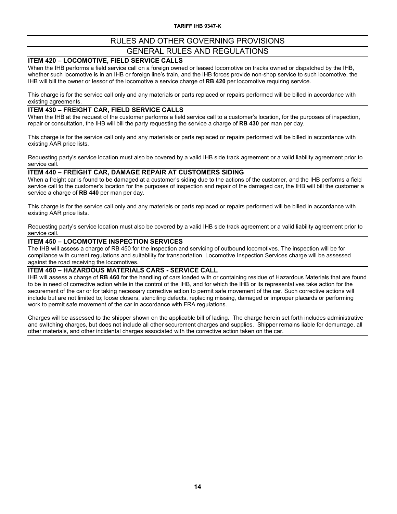#### **ITEM 420 – LOCOMOTIVE, FIELD SERVICE CALLS**

When the IHB performs a field service call on a foreign owned or leased locomotive on tracks owned or dispatched by the IHB, whether such locomotive is in an IHB or foreign line's train, and the IHB forces provide non-shop service to such locomotive, the IHB will bill the owner or lessor of the locomotive a service charge of **RB 420** per locomotive requiring service.

This charge is for the service call only and any materials or parts replaced or repairs performed will be billed in accordance with existing agreements.

#### **ITEM 430 – FREIGHT CAR, FIELD SERVICE CALLS**

When the IHB at the request of the customer performs a field service call to a customer's location, for the purposes of inspection, repair or consultation, the IHB will bill the party requesting the service a charge of **RB 430** per man per day.

This charge is for the service call only and any materials or parts replaced or repairs performed will be billed in accordance with existing AAR price lists.

Requesting party's service location must also be covered by a valid IHB side track agreement or a valid liability agreement prior to service call.

#### **ITEM 440 – FREIGHT CAR, DAMAGE REPAIR AT CUSTOMERS SIDING**

When a freight car is found to be damaged at a customer's siding due to the actions of the customer, and the IHB performs a field service call to the customer's location for the purposes of inspection and repair of the damaged car, the IHB will bill the customer a service a charge of **RB 440** per man per day.

This charge is for the service call only and any materials or parts replaced or repairs performed will be billed in accordance with existing AAR price lists.

Requesting party's service location must also be covered by a valid IHB side track agreement or a valid liability agreement prior to service call.

#### **ITEM 450 – LOCOMOTIVE INSPECTION SERVICES**

The IHB will assess a charge of RB 450 for the inspection and servicing of outbound locomotives. The inspection will be for compliance with current regulations and suitability for transportation. Locomotive Inspection Services charge will be assessed against the road receiving the locomotives.

#### **ITEM 460 – HAZARDOUS MATERIALS CARS - SERVICE CALL**

IHB will assess a charge of **RB 460** for the handling of cars loaded with or containing residue of Hazardous Materials that are found to be in need of corrective action while in the control of the IHB, and for which the IHB or its representatives take action for the securement of the car or for taking necessary corrective action to permit safe movement of the car. Such corrective actions will include but are not limited to; loose closers, stenciling defects, replacing missing, damaged or improper placards or performing work to permit safe movement of the car in accordance with FRA regulations.

Charges will be assessed to the shipper shown on the applicable bill of lading. The charge herein set forth includes administrative and switching charges, but does not include all other securement charges and supplies. Shipper remains liable for demurrage, all other materials, and other incidental charges associated with the corrective action taken on the car.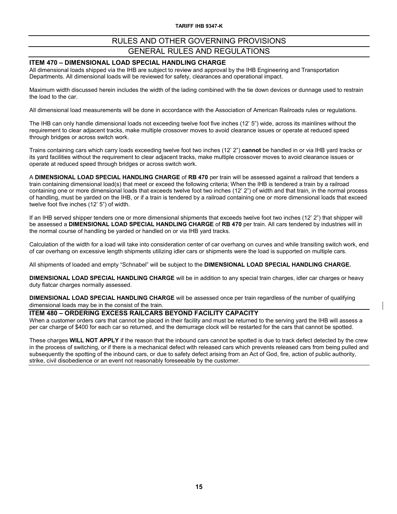#### **ITEM 470 – DIMENSIONAL LOAD SPECIAL HANDLING CHARGE**

All dimensional loads shipped via the IHB are subject to review and approval by the IHB Engineering and Transportation Departments. All dimensional loads will be reviewed for safety, clearances and operational impact.

Maximum width discussed herein includes the width of the lading combined with the tie down devices or dunnage used to restrain the load to the car.

All dimensional load measurements will be done in accordance with the Association of American Railroads rules or regulations.

The IHB can only handle dimensional loads not exceeding twelve foot five inches (12' 5") wide, across its mainlines without the requirement to clear adjacent tracks, make multiple crossover moves to avoid clearance issues or operate at reduced speed through bridges or across switch work.

Trains containing cars which carry loads exceeding twelve foot two inches (12' 2") **cannot** be handled in or via IHB yard tracks or its yard facilities without the requirement to clear adjacent tracks, make multiple crossover moves to avoid clearance issues or operate at reduced speed through bridges or across switch work.

A **DIMENSIONAL LOAD SPECIAL HANDLING CHARGE** of **RB 470** per train will be assessed against a railroad that tenders a train containing dimensional load(s) that meet or exceed the following criteria; When the IHB is tendered a train by a railroad containing one or more dimensional loads that exceeds twelve foot two inches (12' 2") of width and that train, in the normal process of handling, must be yarded on the IHB, or if a train is tendered by a railroad containing one or more dimensional loads that exceed twelve foot five inches (12' 5") of width.

If an IHB served shipper tenders one or more dimensional shipments that exceeds twelve foot two inches (12' 2") that shipper will be assessed a **DIMENSIONAL LOAD SPECIAL HANDLING CHARGE** of **RB 470** per train. All cars tendered by industries will in the normal course of handling be yarded or handled on or via IHB yard tracks.

Calculation of the width for a load will take into consideration center of car overhang on curves and while transiting switch work, end of car overhang on excessive length shipments utilizing idler cars or shipments were the load is supported on multiple cars.

All shipments of loaded and empty "Schnabel" will be subject to the **DIMENSIONAL LOAD SPECIAL HANDLING CHARGE.**

**DIMENSIONAL LOAD SPECIAL HANDLING CHARGE** will be in addition to any special train charges, idler car charges or heavy duty flatcar charges normally assessed.

**DIMENSIONAL LOAD SPECIAL HANDLING CHARGE** will be assessed once per train regardless of the number of qualifying dimensional loads may be in the consist of the train.

#### **ITEM 480 – ORDERING EXCESS RAILCARS BEYOND FACILITY CAPACITY**

When a customer orders cars that cannot be placed in their facility and must be returned to the serving yard the IHB will assess a per car charge of \$400 for each car so returned, and the demurrage clock will be restarted for the cars that cannot be spotted.

These charges **WILL NOT APPLY** if the reason that the inbound cars cannot be spotted is due to track defect detected by the crew in the process of switching, or if there is a mechanical defect with released cars which prevents released cars from being pulled and subsequently the spotting of the inbound cars, or due to safety defect arising from an Act of God, fire, action of public authority, strike, civil disobedience or an event not reasonably foreseeable by the customer.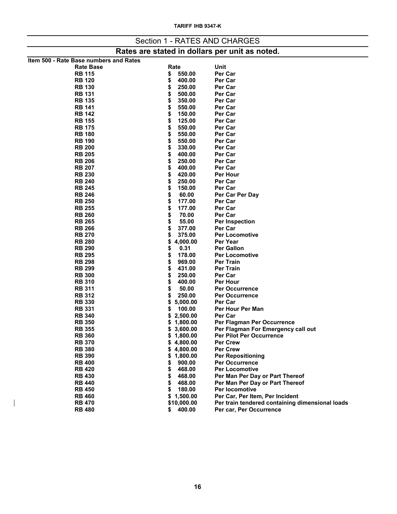|                                                |                          | Section 1 - RATES AND CHARGES                                    |  |  |  |  |  |  |  |  |  |
|------------------------------------------------|--------------------------|------------------------------------------------------------------|--|--|--|--|--|--|--|--|--|
| Rates are stated in dollars per unit as noted. |                          |                                                                  |  |  |  |  |  |  |  |  |  |
| Item 500 - Rate Base numbers and Rates         |                          |                                                                  |  |  |  |  |  |  |  |  |  |
| <b>Rate Base</b>                               | Rate                     | Unit                                                             |  |  |  |  |  |  |  |  |  |
| <b>RB 115</b>                                  | 550.00<br>\$             | Per Car                                                          |  |  |  |  |  |  |  |  |  |
| <b>RB 120</b>                                  | \$<br>400.00             | Per Car                                                          |  |  |  |  |  |  |  |  |  |
| <b>RB 130</b>                                  | 250.00<br>\$             | Per Car                                                          |  |  |  |  |  |  |  |  |  |
| <b>RB 131</b>                                  | \$<br>500.00             | Per Car                                                          |  |  |  |  |  |  |  |  |  |
| <b>RB 135</b>                                  | \$<br>350.00             | Per Car                                                          |  |  |  |  |  |  |  |  |  |
| <b>RB 141</b>                                  | \$<br>550.00             | Per Car                                                          |  |  |  |  |  |  |  |  |  |
| <b>RB 142</b>                                  | \$<br>150.00             | Per Car                                                          |  |  |  |  |  |  |  |  |  |
| <b>RB 155</b>                                  | 125.00<br>\$             | Per Car                                                          |  |  |  |  |  |  |  |  |  |
| <b>RB 175</b>                                  | \$<br>550.00             | Per Car                                                          |  |  |  |  |  |  |  |  |  |
| <b>RB 180</b>                                  | \$<br>550.00             | Per Car                                                          |  |  |  |  |  |  |  |  |  |
| <b>RB 190</b>                                  | \$<br>550.00             | Per Car                                                          |  |  |  |  |  |  |  |  |  |
| <b>RB 200</b>                                  | \$<br>330.00             | Per Car                                                          |  |  |  |  |  |  |  |  |  |
| <b>RB 205</b>                                  | \$<br>400.00             | Per Car                                                          |  |  |  |  |  |  |  |  |  |
| <b>RB 206</b>                                  | \$<br>250.00             | Per Car                                                          |  |  |  |  |  |  |  |  |  |
| <b>RB 207</b>                                  | 400.00<br>\$             | Per Car                                                          |  |  |  |  |  |  |  |  |  |
| <b>RB 230</b>                                  | 420.00<br>\$             | <b>Per Hour</b>                                                  |  |  |  |  |  |  |  |  |  |
| <b>RB 240</b>                                  | \$<br>250.00             | Per Car                                                          |  |  |  |  |  |  |  |  |  |
| <b>RB 245</b><br><b>RB 246</b>                 | \$<br>150.00<br>60.00    | Per Car                                                          |  |  |  |  |  |  |  |  |  |
| <b>RB 250</b>                                  | \$<br>\$<br>177.00       | Per Car Per Day<br>Per Car                                       |  |  |  |  |  |  |  |  |  |
| <b>RB 255</b>                                  | \$<br>177.00             | Per Car                                                          |  |  |  |  |  |  |  |  |  |
| <b>RB 260</b>                                  | \$<br>70.00              | Per Car                                                          |  |  |  |  |  |  |  |  |  |
| <b>RB 265</b>                                  | \$<br>55.00              | Per Inspection                                                   |  |  |  |  |  |  |  |  |  |
| <b>RB 266</b>                                  | \$<br>377.00             | Per Car                                                          |  |  |  |  |  |  |  |  |  |
| <b>RB 270</b>                                  | \$<br>375.00             | <b>Per Locomotive</b>                                            |  |  |  |  |  |  |  |  |  |
| <b>RB 280</b>                                  | 4,000.00<br>\$           | Per Year                                                         |  |  |  |  |  |  |  |  |  |
| <b>RB 290</b>                                  | 0.31<br>\$               | <b>Per Gallon</b>                                                |  |  |  |  |  |  |  |  |  |
| <b>RB 295</b>                                  | 178.00<br>\$             | <b>Per Locomotive</b>                                            |  |  |  |  |  |  |  |  |  |
| <b>RB 298</b>                                  | 969.00<br>\$             | <b>Per Train</b>                                                 |  |  |  |  |  |  |  |  |  |
| <b>RB 299</b>                                  | \$<br>431.00             | <b>Per Train</b>                                                 |  |  |  |  |  |  |  |  |  |
| <b>RB 300</b>                                  | \$<br>250.00             | Per Car                                                          |  |  |  |  |  |  |  |  |  |
| <b>RB 310</b>                                  | \$<br>400.00             | Per Hour                                                         |  |  |  |  |  |  |  |  |  |
| <b>RB 311</b>                                  | \$<br>50.00              | <b>Per Occurrence</b>                                            |  |  |  |  |  |  |  |  |  |
| <b>RB 312</b>                                  | 250.00<br>S              | <b>Per Occurrence</b>                                            |  |  |  |  |  |  |  |  |  |
| <b>RB 330</b>                                  | 5,000.00<br>\$           | Per Car                                                          |  |  |  |  |  |  |  |  |  |
| <b>RB 331</b>                                  | 100.00<br>\$             | Per Hour Per Man                                                 |  |  |  |  |  |  |  |  |  |
| <b>RB 340</b><br><b>RB 350</b>                 | 2,500.00<br>\$           | Per Car                                                          |  |  |  |  |  |  |  |  |  |
| <b>RB 355</b>                                  | \$1,800.00<br>\$3,600.00 | Per Flagman Per Occurrence<br>Per Flagman For Emergency call out |  |  |  |  |  |  |  |  |  |
| <b>RB 360</b>                                  | \$1,800.00               | <b>Per Pilot Per Occurrence</b>                                  |  |  |  |  |  |  |  |  |  |
| <b>RB 370</b>                                  | \$4,800.00               | <b>Per Crew</b>                                                  |  |  |  |  |  |  |  |  |  |
| <b>RB 380</b>                                  | \$4,800.00               | <b>Per Crew</b>                                                  |  |  |  |  |  |  |  |  |  |
| <b>RB 390</b>                                  | \$1,800.00               | <b>Per Repositioning</b>                                         |  |  |  |  |  |  |  |  |  |
| <b>RB 400</b>                                  | 900.00<br>\$             | <b>Per Occurrence</b>                                            |  |  |  |  |  |  |  |  |  |
| <b>RB 420</b>                                  | 468.00<br>\$             | <b>Per Locomotive</b>                                            |  |  |  |  |  |  |  |  |  |
| <b>RB 430</b>                                  | 468.00<br>\$             | Per Man Per Day or Part Thereof                                  |  |  |  |  |  |  |  |  |  |
| <b>RB 440</b>                                  | 468.00<br>\$             | Per Man Per Day or Part Thereof                                  |  |  |  |  |  |  |  |  |  |
| <b>RB 450</b>                                  | 180.00<br>\$             | Per locomotive                                                   |  |  |  |  |  |  |  |  |  |
| <b>RB 460</b>                                  | \$1,500.00               | Per Car, Per Item, Per Incident                                  |  |  |  |  |  |  |  |  |  |
| <b>RB 470</b>                                  | \$10,000.00              | Per train tendered containing dimensional loads                  |  |  |  |  |  |  |  |  |  |
| <b>RB 480</b>                                  | 400.00<br>\$             | Per car, Per Occurrence                                          |  |  |  |  |  |  |  |  |  |

 $\begin{array}{c} \hline \end{array}$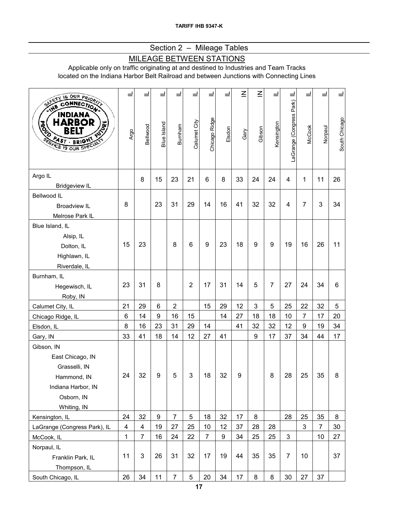# Section 2 – Mileage Tables

# MILEAGE BETWEEN STATIONS

Applicable only on traffic originating at and destined to Industries and Team Tracks located on the Indiana Harbor Belt Railroad and between Junctions with Connecting Lines

| SAFETY IS OUR PRIORITY                                                                                                                      | ⊒                       |                |                  |                  |                |                |        | $\leq$ | $\overline{\leq}$ | ᆜ              | $\equiv$                 |                |                |               |
|---------------------------------------------------------------------------------------------------------------------------------------------|-------------------------|----------------|------------------|------------------|----------------|----------------|--------|--------|-------------------|----------------|--------------------------|----------------|----------------|---------------|
| <b>CONNECTION</b><br><b>INDIANA</b><br>HARBOR<br><b>RIVER</b><br><b>ARGE</b><br>BELI<br><b>PAST BRIGHT</b><br><b>DERIVEE IS OUR SPECIAL</b> | Argo                    | Bellwood       | Blue Island      | Burnham          | Calumet City   | Chicago Ridge  | Elsdon | Gary   | Gibson            | Kensington     | LaGrange (Congress Park) | <b>McCook</b>  | Norpaul        | South Chicago |
| Argo IL<br><b>Bridgeview IL</b>                                                                                                             |                         | 8              | 15               | 23               | 21             | 6              | 8      | 33     | 24                | 24             | 4                        | 1              | 11             | 26            |
| Bellwood IL                                                                                                                                 |                         |                |                  |                  |                |                |        |        |                   |                |                          |                |                |               |
| <b>Broadview IL</b>                                                                                                                         | 8                       |                | 23               | 31               | 29             | 14             | 16     | 41     | 32                | 32             | 4                        | $\overline{7}$ | 3              | 34            |
| Melrose Park IL                                                                                                                             |                         |                |                  |                  |                |                |        |        |                   |                |                          |                |                |               |
| Blue Island, IL                                                                                                                             |                         |                |                  |                  |                |                |        |        |                   |                |                          |                |                |               |
| Alsip, IL                                                                                                                                   |                         |                |                  |                  |                |                |        |        |                   |                |                          |                |                |               |
| Dolton, IL                                                                                                                                  | 15                      | 23             |                  | 8                | 6              | 9              | 23     | 18     | 9                 | 9              | 19                       | 16             | 26             | 11            |
| Highlawn, IL                                                                                                                                |                         |                |                  |                  |                |                |        |        |                   |                |                          |                |                |               |
| Riverdale, IL                                                                                                                               |                         |                |                  |                  |                |                |        |        |                   |                |                          |                |                |               |
| Burnham, IL                                                                                                                                 |                         |                |                  |                  |                |                |        |        |                   |                |                          |                |                |               |
| Hegewisch, IL                                                                                                                               | 23                      | 31             | 8                |                  | $\overline{2}$ | 17             | 31     | 14     | 5                 | $\overline{7}$ | 27                       | 24             | 34             | 6             |
| Roby, IN                                                                                                                                    |                         |                |                  |                  |                |                |        |        |                   |                |                          |                |                |               |
| Calumet City, IL                                                                                                                            | 21                      | 29             | $\,6$            | $\boldsymbol{2}$ |                | 15             | 29     | 12     | $\mathbf{3}$      | 5              | 25                       | 22             | 32             | 5             |
| Chicago Ridge, IL                                                                                                                           | 6                       | 14             | 9                | 16               | 15             |                | 14     | 27     | 18                | 18             | 10                       | $\overline{7}$ | 17             | 20            |
| Elsdon, IL                                                                                                                                  | 8                       | 16             | 23               | 31               | 29             | 14             |        | 41     | 32                | 32             | 12                       | 9              | 19             | 34            |
| Gary, IN                                                                                                                                    | 33                      | 41             | 18               | 14               | 12             | 27             | 41     |        | $\boldsymbol{9}$  | 17             | 37                       | 34             | 44             | 17            |
| Gibson, IN                                                                                                                                  |                         |                |                  |                  |                |                |        |        |                   |                |                          |                |                |               |
| East Chicago, IN                                                                                                                            |                         |                |                  |                  |                |                |        |        |                   |                |                          |                |                |               |
| Grasselli, IN                                                                                                                               |                         |                |                  |                  |                |                |        |        |                   |                |                          |                |                |               |
| Hammond, IN                                                                                                                                 | 24                      | 32             | 9                | 5                | 3              | 18             | 32     | 9      |                   | 8              | 28                       | 25             | 35             | 8             |
| Indiana Harbor, IN                                                                                                                          |                         |                |                  |                  |                |                |        |        |                   |                |                          |                |                |               |
| Osborn, IN                                                                                                                                  |                         |                |                  |                  |                |                |        |        |                   |                |                          |                |                |               |
| Whiting, IN                                                                                                                                 |                         |                |                  |                  |                |                |        |        |                   |                |                          |                |                |               |
| Kensington, IL                                                                                                                              | 24                      | 32             | $\boldsymbol{9}$ | $\overline{7}$   | 5              | 18             | 32     | 17     | 8                 |                | 28                       | 25             | 35             | 8             |
| LaGrange (Congress Park), IL                                                                                                                | $\overline{\mathbf{4}}$ | 4              | 19               | 27               | 25             | 10             | 12     | 37     | 28                | 28             |                          | 3              | $\overline{7}$ | 30            |
| McCook, IL                                                                                                                                  | $\mathbf{1}$            | $\overline{7}$ | 16               | 24               | 22             | $\overline{7}$ | 9      | 34     | 25                | 25             | 3                        |                | 10             | 27            |
| Norpaul, IL                                                                                                                                 | 11                      | 3              | 26               | 31               | 32             | 17             | 19     | 44     | 35                | 35             | $\overline{7}$           | 10             |                | 37            |
| Franklin Park, IL<br>Thompson, IL                                                                                                           |                         |                |                  |                  |                |                |        |        |                   |                |                          |                |                |               |
|                                                                                                                                             | 26                      | 34             | 11               | $\overline{7}$   | $\sqrt{5}$     | 20             | 34     | 17     | 8                 | 8              | 30                       | 27             | 37             |               |
| South Chicago, IL                                                                                                                           |                         |                |                  |                  |                |                |        |        |                   |                |                          |                |                |               |